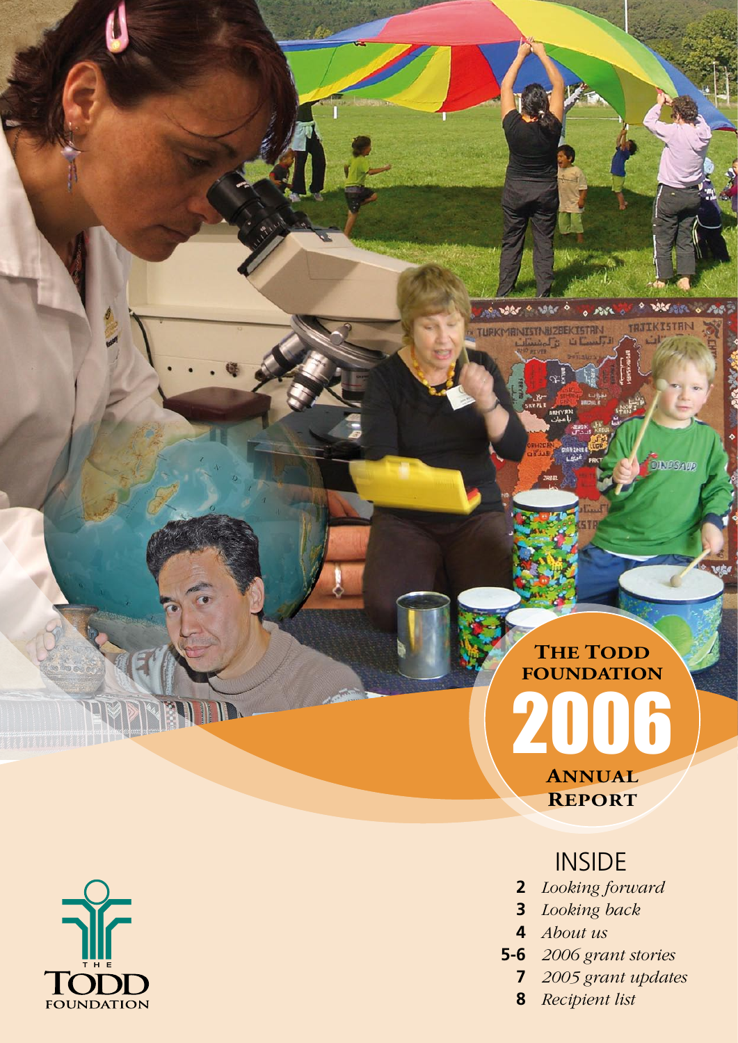

325

**TRJIKISTRI** 

**DINGSAVE** 

AG.

 $^{\circ}$  AM

**IEKTSTAN** 

**POSSES OF THE** 

**TURKMANISTNUZ** 



### INSIDE

- **2** *Looking forward*
- **3** *Looking back*
- **4** *About us*
- **5-6** *2006 grant stories*
	- **7** *2005 grant updates*
	- **8** *Recipient list*

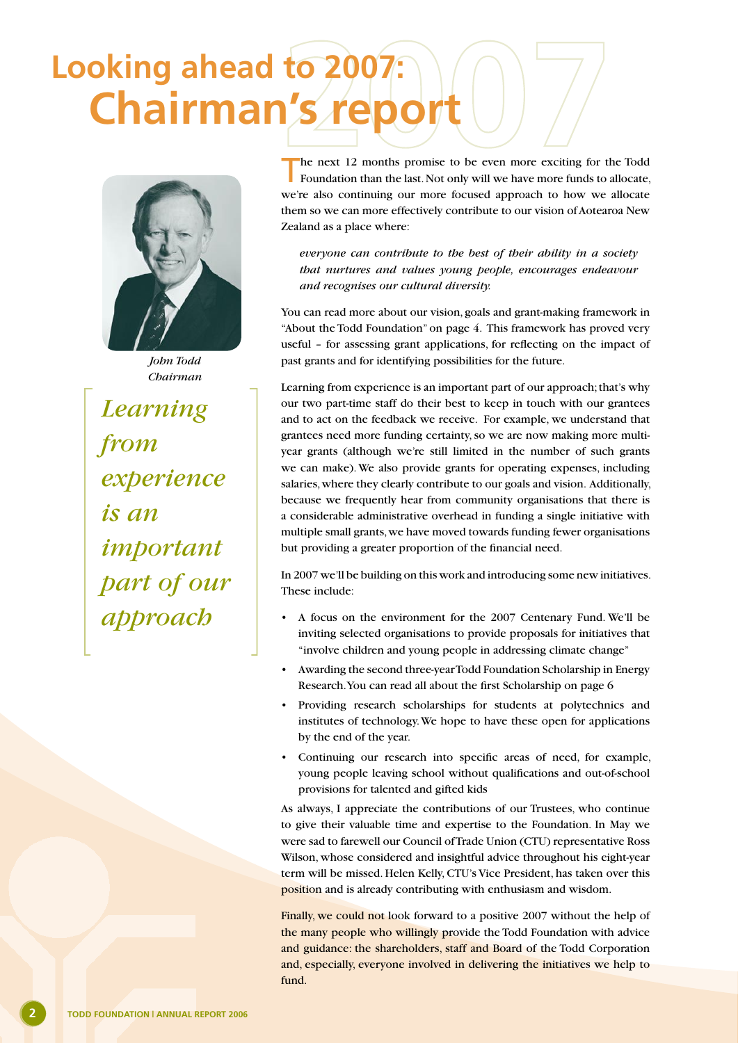### **Chairman's repo Looking ahead to 2007:**



*John Todd Chairman*

*Learning from experience is an important part of our approach*

The next 12 months promise to be even more exciting for the Todd Foundation than the last. Not only will we have more funds to allocate, we're also continuing our more focused approach to how we allocate them so we can more effectively contribute to our vision of Aotearoa New Zealand as a place where:

*everyone can contribute to the best of their ability in a society that nurtures and values young people, encourages endeavour and recognises our cultural diversity.*

You can read more about our vision, goals and grant-making framework in "About the Todd Foundation" on page 4. This framework has proved very useful – for assessing grant applications, for reflecting on the impact of past grants and for identifying possibilities for the future.

Learning from experience is an important part of our approach; that's why our two part-time staff do their best to keep in touch with our grantees and to act on the feedback we receive. For example, we understand that grantees need more funding certainty, so we are now making more multiyear grants (although we're still limited in the number of such grants we can make). We also provide grants for operating expenses, including salaries, where they clearly contribute to our goals and vision. Additionally, because we frequently hear from community organisations that there is a considerable administrative overhead in funding a single initiative with multiple small grants, we have moved towards funding fewer organisations but providing a greater proportion of the financial need.

In 2007 we'll be building on this work and introducing some new initiatives. These include:

- A focus on the environment for the 2007 Centenary Fund. We'll be inviting selected organisations to provide proposals for initiatives that "involve children and young people in addressing climate change"
- Awarding the second three-year Todd Foundation Scholarship in Energy Research. You can read all about the first Scholarship on page 6
- Providing research scholarships for students at polytechnics and institutes of technology. We hope to have these open for applications by the end of the year.
- Continuing our research into specific areas of need, for example, young people leaving school without qualifications and out-of-school provisions for talented and gifted kids

As always, I appreciate the contributions of our Trustees, who continue to give their valuable time and expertise to the Foundation. In May we were sad to farewell our Council of Trade Union (CTU) representative Ross Wilson, whose considered and insightful advice throughout his eight-year term will be missed. Helen Kelly, CTU's Vice President, has taken over this position and is already contributing with enthusiasm and wisdom.

Finally, we could not look forward to a positive 2007 without the help of the many people who willingly provide the Todd Foundation with advice and guidance: the shareholders, staff and Board of the Todd Corporation and, especially, everyone involved in delivering the initiatives we help to fund.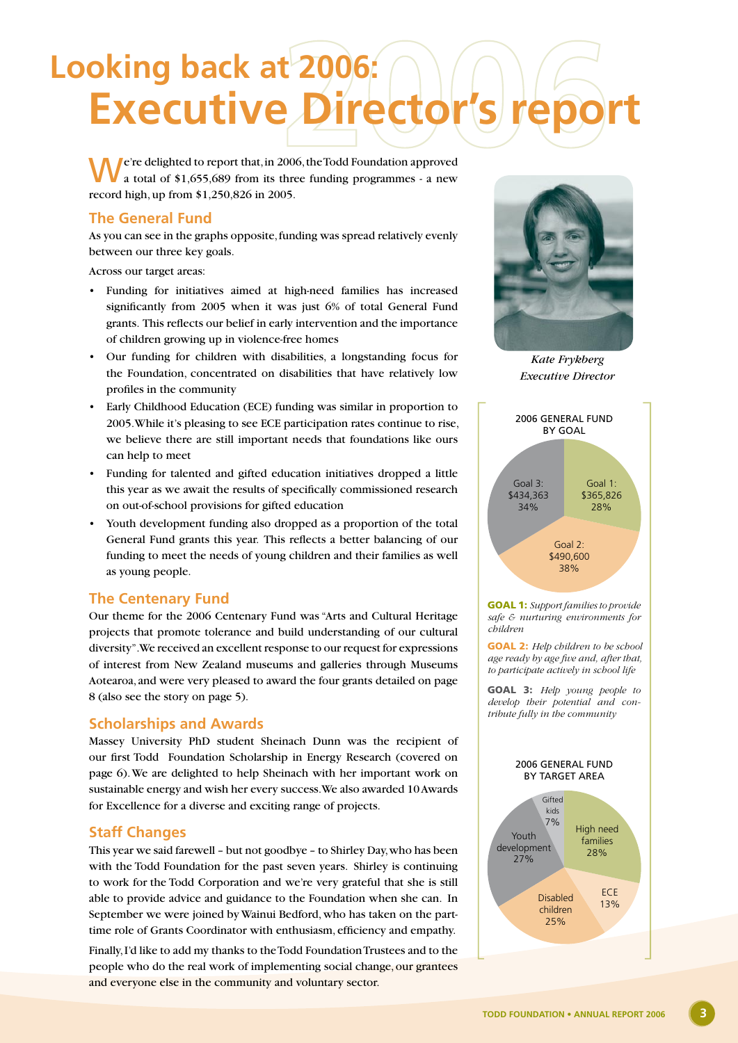## **Executive Director Looking back at 2006:**

**P**e're delighted to report that, in 2006, the Todd Foundation approved a total of \$1,655,689 from its three funding programmes - a new record high, up from \$1,250,826 in 2005.

#### **The General Fund**

As you can see in the graphs opposite, funding was spread relatively evenly between our three key goals.

Across our target areas:

- Funding for initiatives aimed at high-need families has increased significantly from 2005 when it was just 6% of total General Fund grants. This reflects our belief in early intervention and the importance of children growing up in violence-free homes
- Our funding for children with disabilities, a longstanding focus for the Foundation, concentrated on disabilities that have relatively low profiles in the community
- Early Childhood Education (ECE) funding was similar in proportion to 2005. While it's pleasing to see ECE participation rates continue to rise, we believe there are still important needs that foundations like ours can help to meet
- Funding for talented and gifted education initiatives dropped a little this year as we await the results of specifically commissioned research on out-of-school provisions for gifted education
- Youth development funding also dropped as a proportion of the total General Fund grants this year. This reflects a better balancing of our funding to meet the needs of young children and their families as well as young people.

#### **The Centenary Fund**

Our theme for the 2006 Centenary Fund was "Arts and Cultural Heritage projects that promote tolerance and build understanding of our cultural diversity". We received an excellent response to our request for expressions of interest from New Zealand museums and galleries through Museums Aotearoa, and were very pleased to award the four grants detailed on page 8 (also see the story on page 5).

#### **Scholarships and Awards**

Massey University PhD student Sheinach Dunn was the recipient of our first Todd Foundation Scholarship in Energy Research (covered on page 6). We are delighted to help Sheinach with her important work on sustainable energy and wish her every success. We also awarded 10 Awards for Excellence for a diverse and exciting range of projects.

#### **Staff Changes**

This year we said farewell – but not goodbye – to Shirley Day, who has been with the Todd Foundation for the past seven years. Shirley is continuing to work for the Todd Corporation and we're very grateful that she is still able to provide advice and guidance to the Foundation when she can. In September we were joined by Wainui Bedford, who has taken on the parttime role of Grants Coordinator with enthusiasm, efficiency and empathy.

Finally, I'd like to add my thanks to the Todd Foundation Trustees and to the people who do the real work of implementing social change, our grantees and everyone else in the community and voluntary sector.



*Kate Frykberg Executive Director*



Goal 1: *Support families to provide safe & nurturing environments for children*

Goal 2: *Help children to be school age ready by age five and, after that, to participate actively in school life*

Goal 3: *Help young people to develop their potential and contribute fully in the community*

#### 2006 General Fund by Target Area

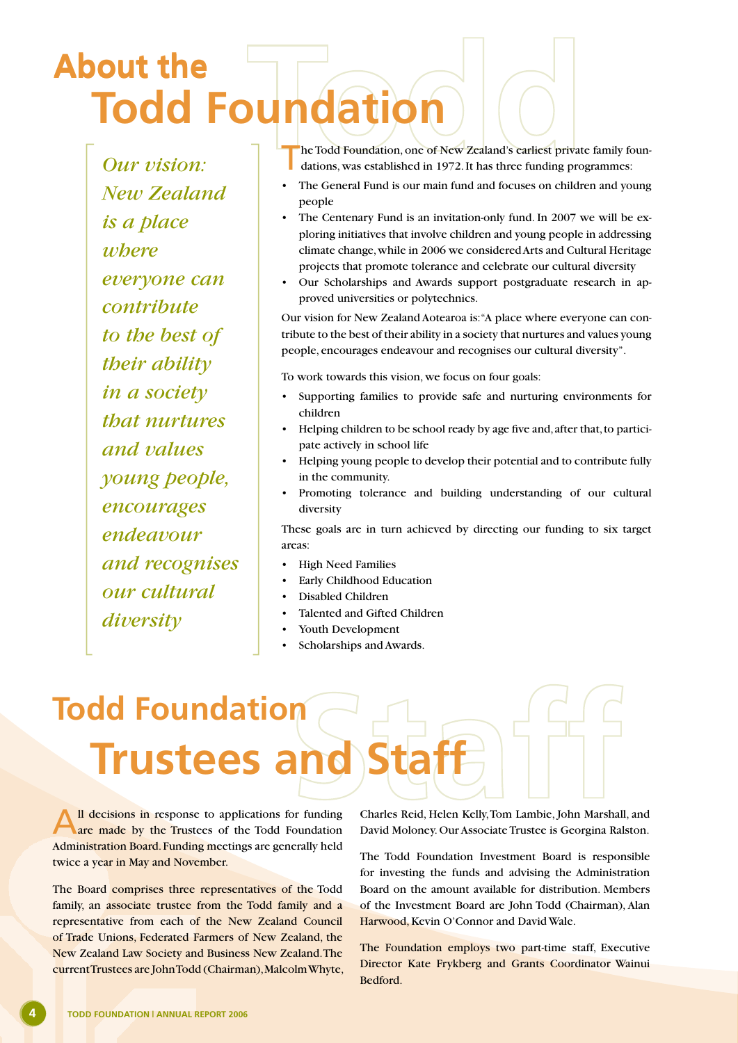### **Todd Foundation About the About the**

*Our vision: New Zealand is a place where everyone can contribute to the best of their ability in a society that nurtures and values young people, encourages endeavour and recognises our cultural diversity*

he Todd Foundation, one of New Zealand's earliest private family foundations, was established in 1972. It has three funding programmes:

- The General Fund is our main fund and focuses on children and young people
- The Centenary Fund is an invitation-only fund. In 2007 we will be exploring initiatives that involve children and young people in addressing climate change, while in 2006 we considered Arts and Cultural Heritage projects that promote tolerance and celebrate our cultural diversity
- Our Scholarships and Awards support postgraduate research in approved universities or polytechnics.

Our vision for New Zealand Aotearoa is: "A place where everyone can contribute to the best of their ability in a society that nurtures and values young people, encourages endeavour and recognises our cultural diversity".

To work towards this vision, we focus on four goals:

- Supporting families to provide safe and nurturing environments for children
- Helping children to be school ready by age five and, after that, to participate actively in school life
- Helping young people to develop their potential and to contribute fully in the community.
- Promoting tolerance and building understanding of our cultural diversity

These goals are in turn achieved by directing our funding to six target areas:

- High Need Families
- Early Childhood Education
- Disabled Children
- Talented and Gifted Children
- Youth Development
- Scholarships and Awards.

## **Trustees** and **Todd Foundation**

Il decisions in response to applications for funding are made by the Trustees of the Todd Foundation Administration Board. Funding meetings are generally held twice a year in May and November.

The Board comprises three representatives of the Todd family, an associate trustee from the Todd family and a representative from each of the New Zealand Council of Trade Unions, Federated Farmers of New Zealand, the New Zealand Law Society and Business New Zealand. The current Trustees are John Todd (Chairman), Malcolm Whyte, Charles Reid, Helen Kelly, Tom Lambie, John Marshall, and David Moloney. Our Associate Trustee is Georgina Ralston.

The Todd Foundation Investment Board is responsible for investing the funds and advising the Administration Board on the amount available for distribution. Members of the Investment Board are John Todd (Chairman), Alan Harwood, Kevin O'Connor and David Wale.

The Foundation employs two part-time staff, Executive Director Kate Frykberg and Grants Coordinator Wainui Bedford.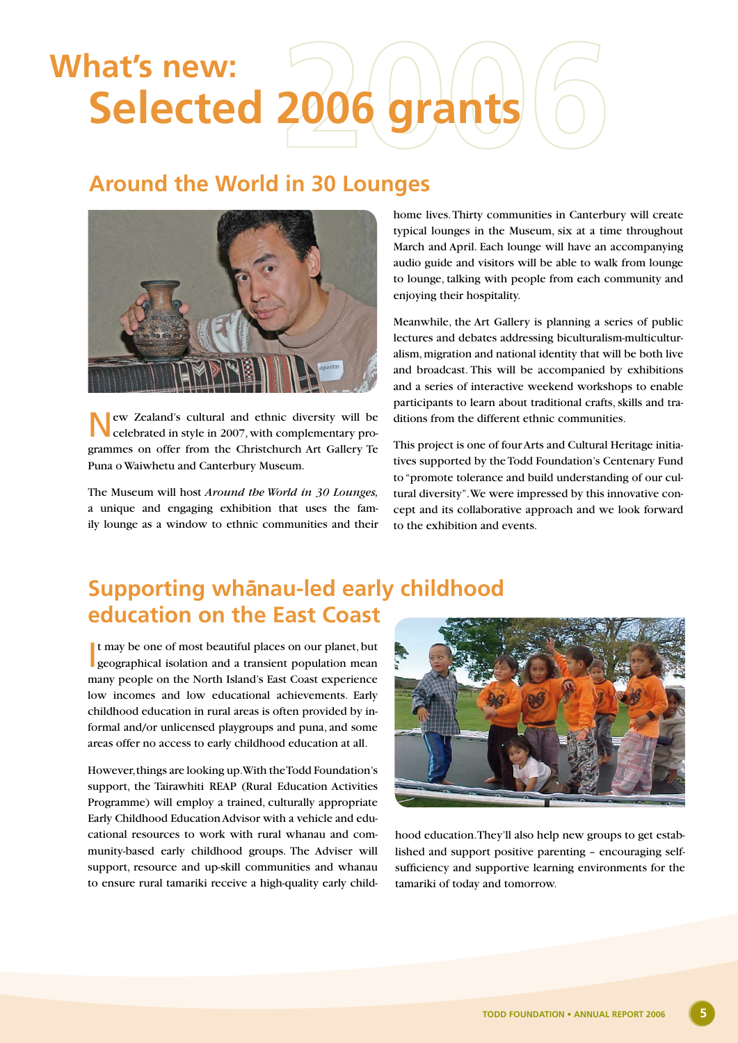## **Selected 2006 grant What's new:**

#### **Around the World in 30 Lounges**



New Zealand's cultural and ethnic diversity will be celebrated in style in 2007, with complementary programmes on offer from the Christchurch Art Gallery Te Puna o Waiwhetu and Canterbury Museum.

The Museum will host *Around the World in 30 Lounges,* a unique and engaging exhibition that uses the family lounge as a window to ethnic communities and their

home lives. Thirty communities in Canterbury will create typical lounges in the Museum, six at a time throughout March and April. Each lounge will have an accompanying audio guide and visitors will be able to walk from lounge to lounge, talking with people from each community and enjoying their hospitality.

Meanwhile, the Art Gallery is planning a series of public lectures and debates addressing biculturalism-multiculturalism, migration and national identity that will be both live and broadcast. This will be accompanied by exhibitions and a series of interactive weekend workshops to enable participants to learn about traditional crafts, skills and traditions from the different ethnic communities.

This project is one of four Arts and Cultural Heritage initiatives supported by the Todd Foundation's Centenary Fund to "promote tolerance and build understanding of our cultural diversity". We were impressed by this innovative concept and its collaborative approach and we look forward to the exhibition and events.

### **Supporting whānau-led early childhood education on the East Coast**

It may be one of most beautiful places on our planet, but<br>geographical isolation and a transient population mean geographical isolation and a transient population mean many people on the North Island's East Coast experience low incomes and low educational achievements. Early childhood education in rural areas is often provided by informal and/or unlicensed playgroups and puna, and some areas offer no access to early childhood education at all.

However, things are looking up. With the Todd Foundation's support, the Tairawhiti REAP (Rural Education Activities Programme) will employ a trained, culturally appropriate Early Childhood Education Advisor with a vehicle and educational resources to work with rural whanau and community-based early childhood groups. The Adviser will support, resource and up-skill communities and whanau to ensure rural tamariki receive a high-quality early child-



hood education. They'll also help new groups to get established and support positive parenting – encouraging selfsufficiency and supportive learning environments for the tamariki of today and tomorrow.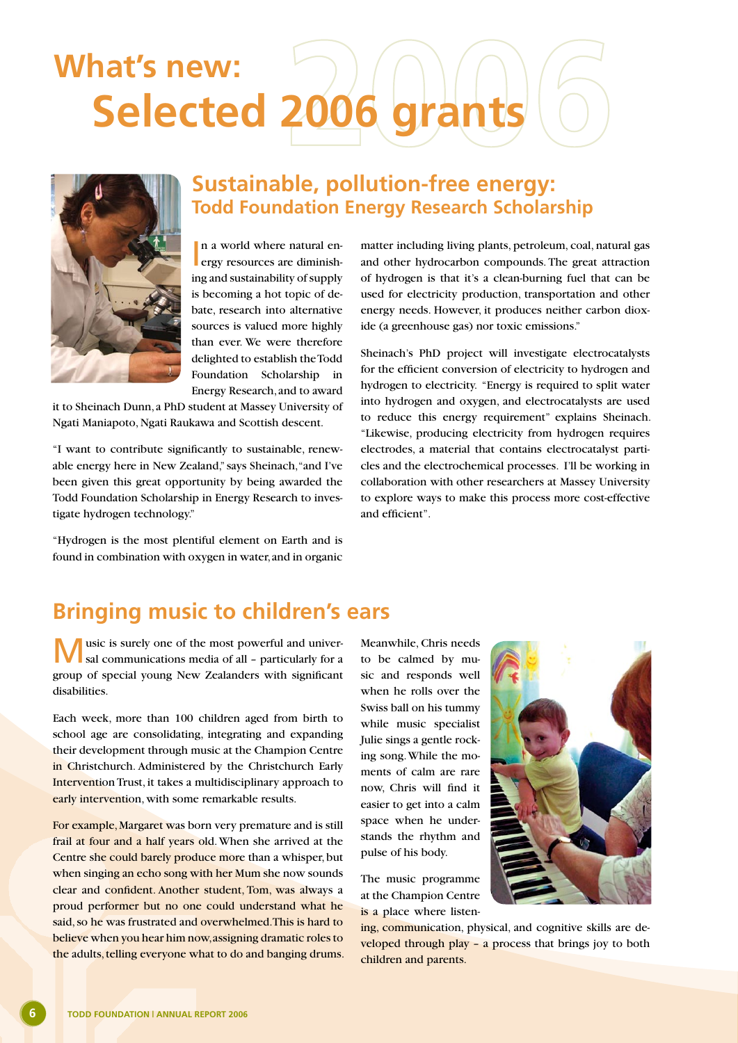## **Selected 2006 grants What's new:**



#### **Sustainable, pollution-free energy: Todd Foundation Energy Research Scholarship**

In a world where natural energy resources are diminishn a world where natural ening and sustainability of supply is becoming a hot topic of debate, research into alternative sources is valued more highly than ever. We were therefore delighted to establish the Todd Foundation Scholarship in Energy Research, and to award

it to Sheinach Dunn, a PhD student at Massey University of Ngati Maniapoto, Ngati Raukawa and Scottish descent.

"I want to contribute significantly to sustainable, renewable energy here in New Zealand," says Sheinach, "and I've been given this great opportunity by being awarded the Todd Foundation Scholarship in Energy Research to investigate hydrogen technology."

"Hydrogen is the most plentiful element on Earth and is found in combination with oxygen in water, and in organic

matter including living plants, petroleum, coal, natural gas and other hydrocarbon compounds. The great attraction of hydrogen is that it's a clean-burning fuel that can be used for electricity production, transportation and other energy needs. However, it produces neither carbon dioxide (a greenhouse gas) nor toxic emissions."

Sheinach's PhD project will investigate electrocatalysts for the efficient conversion of electricity to hydrogen and hydrogen to electricity. "Energy is required to split water into hydrogen and oxygen, and electrocatalysts are used to reduce this energy requirement" explains Sheinach. "Likewise, producing electricity from hydrogen requires electrodes, a material that contains electrocatalyst particles and the electrochemical processes. I'll be working in collaboration with other researchers at Massey University to explore ways to make this process more cost-effective and efficient".

### **Bringing music to children's ears**

usic is surely one of the most powerful and universal communications media of all – particularly for a group of special young New Zealanders with significant disabilities.

Each week, more than 100 children aged from birth to school age are consolidating, integrating and expanding their development through music at the Champion Centre in Christchurch. Administered by the Christchurch Early Intervention Trust, it takes a multidisciplinary approach to early intervention, with some remarkable results.

For example, Margaret was born very premature and is still frail at four and a half years old. When she arrived at the Centre she could barely produce more than a whisper, but when singing an echo song with her Mum she now sounds clear and confident. Another student, Tom, was always a proud performer but no one could understand what he said, so he was frustrated and overwhelmed. This is hard to believe when you hear him now, assigning dramatic roles to the adults, telling everyone what to do and banging drums.

Meanwhile, Chris needs to be calmed by music and responds well when he rolls over the Swiss ball on his tummy while music specialist Julie sings a gentle rocking song. While the moments of calm are rare now, Chris will find it easier to get into a calm space when he understands the rhythm and pulse of his body.

The music programme at the Champion Centre is a place where listen-



ing, communication, physical, and cognitive skills are developed through play - a process that brings joy to both children and parents.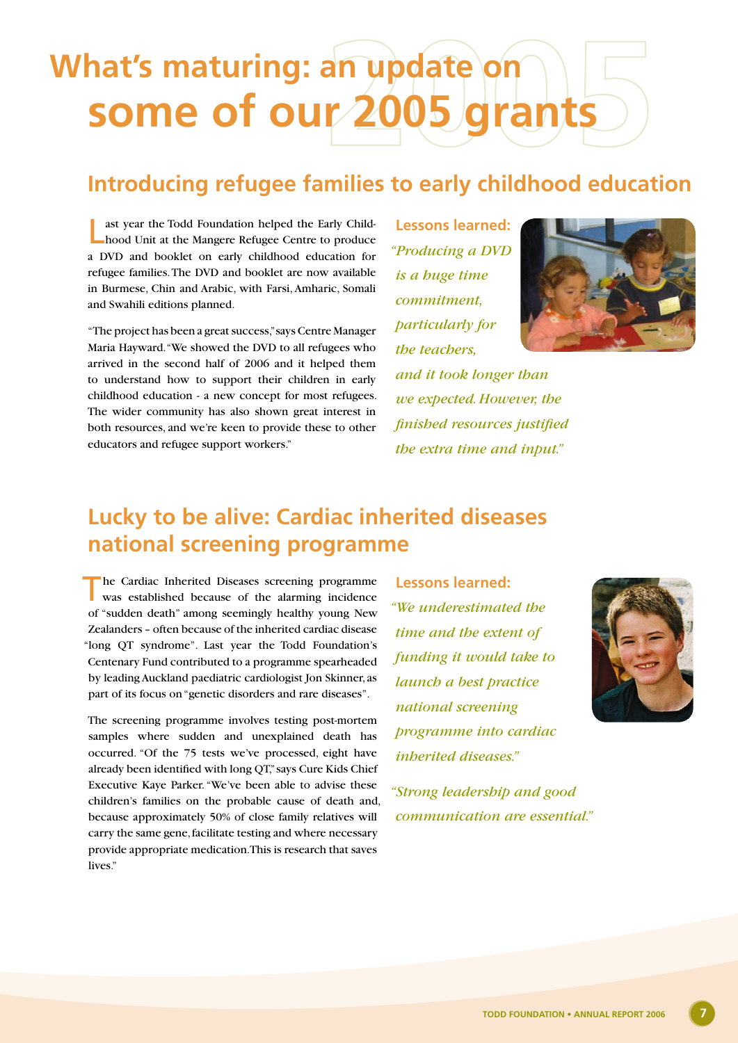## **some of our 2005 grants What's maturing: an update on**

### **Introducing refugee families to early childhood education**

ast year the Todd Foundation helped the Early Childhood Unit at the Mangere Refugee Centre to produce a DVD and booklet on early childhood education for refugee families. The DVD and booklet are now available in Burmese, Chin and Arabic, with Farsi, Amharic, Somali and Swahili editions planned.

"The project has been a great success," says Centre Manager Maria Hayward. "We showed the DVD to all refugees who arrived in the second half of 2006 and it helped them to understand how to support their children in early childhood education - a new concept for most refugees. The wider community has also shown great interest in both resources, and we're keen to provide these to other educators and refugee support workers."

**Lessons learned:** *"Producing a DVD is a huge time commitment, particularly for the teachers,* 



*and it took longer than we expected. However, the finished resources justified the extra time and input."*

### **Lucky to be alive: Cardiac inherited diseases national screening programme**

he Cardiac Inherited Diseases screening programme was established because of the alarming incidence of "sudden death" among seemingly healthy young New Zealanders – often because of the inherited cardiac disease "long QT syndrome". Last year the Todd Foundation's Centenary Fund contributed to a programme spearheaded by leading Auckland paediatric cardiologist Jon Skinner, as part of its focus on "genetic disorders and rare diseases".

The screening programme involves testing post-mortem samples where sudden and unexplained death has occurred. "Of the 75 tests we've processed, eight have already been identified with long QT," says Cure Kids Chief Executive Kaye Parker. "We've been able to advise these children's families on the probable cause of death and, because approximately 50% of close family relatives will carry the same gene, facilitate testing and where necessary provide appropriate medication. This is research that saves lives."

**Lessons learned:** *"We underestimated the time and the extent of funding it would take to launch a best practice national screening programme into cardiac inherited diseases."*



*"Strong leadership and good communication are essential."*